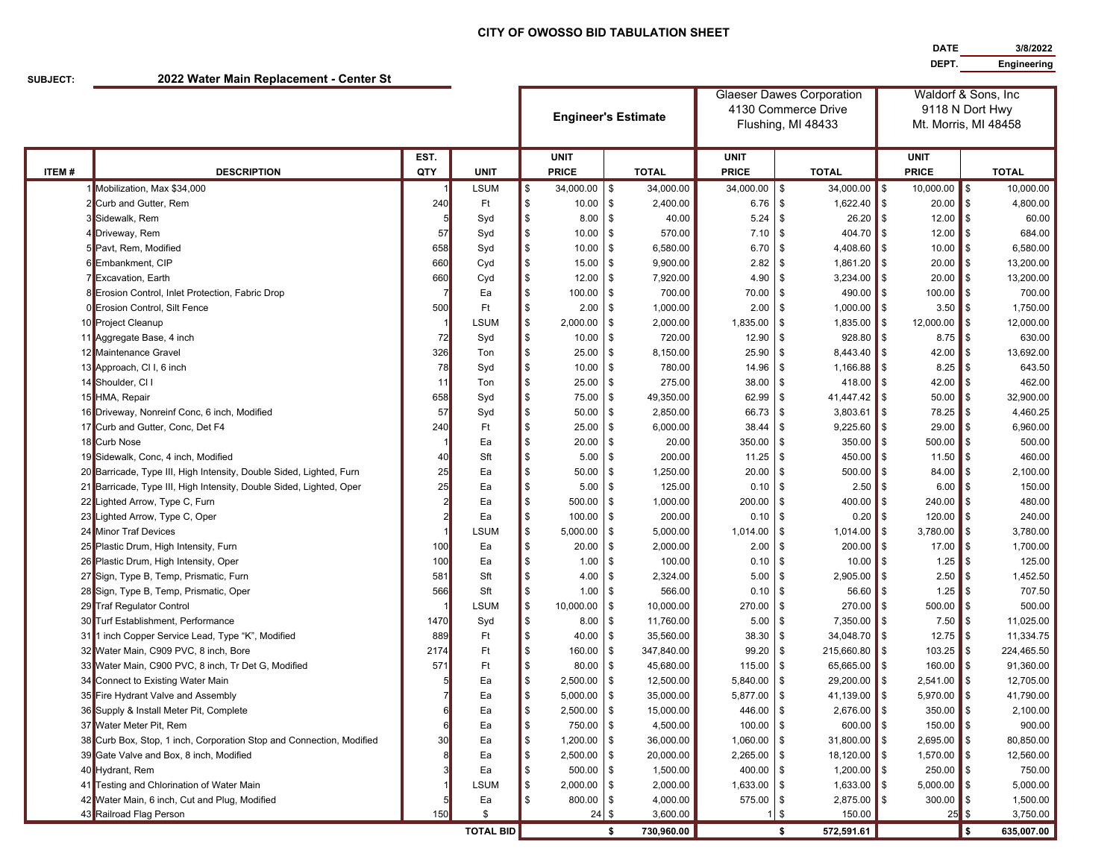## **CITY OF OWOSSO BID TABULATION SHEET**

**DATE 3/8/2022 DEPT. Engineering**

**SUBJECT:**

**2022 Water Main Replacement - Center St**

|              |                                                                      |      |                        | <b>Engineer's Estimate</b> |               |                | <b>Glaeser Dawes Corporation</b><br>4130 Commerce Drive |                    |           |                      | Waldorf & Sons, Inc<br>9118 N Dort Hwy |                      |       |              |  |
|--------------|----------------------------------------------------------------------|------|------------------------|----------------------------|---------------|----------------|---------------------------------------------------------|--------------------|-----------|----------------------|----------------------------------------|----------------------|-------|--------------|--|
|              |                                                                      |      |                        |                            |               |                |                                                         | Flushing, MI 48433 |           |                      |                                        | Mt. Morris, MI 48458 |       |              |  |
|              |                                                                      | EST. |                        |                            | <b>UNIT</b>   |                |                                                         | <b>UNIT</b>        |           |                      |                                        | <b>UNIT</b>          |       |              |  |
| <b>ITEM#</b> | <b>DESCRIPTION</b>                                                   | QTY  | <b>UNIT</b>            |                            | <b>PRICE</b>  |                | <b>TOTAL</b>                                            | <b>PRICE</b>       |           | <b>TOTAL</b>         |                                        | <b>PRICE</b>         |       | <b>TOTAL</b> |  |
|              | Mobilization, Max \$34,000                                           |      | <b>LSUM</b>            | \$                         | 34,000.00     | \$             | 34,000.00                                               | 34,000.00          | \$        | 34,000.00            | \$                                     | 10,000.00            | l \$  | 10,000.00    |  |
|              | <b>Example 2</b> Curb and Gutter, Rem                                | 240  | Ft                     | \$                         | 10.00         | \$             | 2,400.00                                                | 6.76               | \$        | 1,622.40             | \$                                     | 20.00                | l \$  | 4,800.00     |  |
|              | 3 Sidewalk, Rem                                                      |      | Syd                    | \$                         | 8.00          | $\mathfrak{s}$ | 40.00                                                   | 5.24               | \$        | 26.20                | \$                                     | $12.00$ \$           |       | 60.00        |  |
|              | 4 Driveway, Rem                                                      | 57   | Syd                    | \$                         | 10.00         | \$             | 570.00                                                  | 7.10               | \$        | 404.70               | $\mathbf{\$}$                          | 12.00                | ll \$ | 684.00       |  |
|              | 5 Pavt, Rem, Modified                                                | 658  | Syd                    | \$                         | 10.00         | \$             | 6,580.00                                                | 6.70               | \$        | 4,408.60             | \$                                     | 10.00                | ∎\$   | 6,580.00     |  |
|              | 6 Embankment, CIP                                                    | 660  | Cyd                    | \$                         | 15.00         | \$             | 9,900.00                                                | 2.82               | \$        | 1,861.20             | \$                                     | 20.00                | l \$  | 13,200.00    |  |
|              | 7 Excavation, Earth                                                  | 660  | Cyd                    | \$                         | 12.00         | \$             | 7,920.00                                                | 4.90               | \$        | 3,234.00             | \$                                     | 20.00                | ∎\$   | 13,200.00    |  |
|              | 8 Erosion Control, Inlet Protection, Fabric Drop                     |      | Ea                     | \$                         | 100.00        | \$             | 700.00                                                  | 70.00              | \$        | 490.00               | $\mathbf{\$}$                          | 100.00               | l \$  | 700.00       |  |
|              | 0 Erosion Control, Silt Fence                                        | 500  | Ft                     | \$                         | 2.00          | \$             | 1,000.00                                                | 2.00               | \$        | 1,000.00             | \$                                     | 3.50                 | l \$  | 1,750.00     |  |
|              | 10 Project Cleanup                                                   |      | <b>LSUM</b>            | \$                         | 2,000.00      | \$             | 2,000.00                                                | 1,835.00           | \$        | 1,835.00             | \$                                     | 12,000.00            | \$    | 12,000.00    |  |
|              | 11 Aggregate Base, 4 inch                                            | 72   | Syd                    | \$                         | 10.00         | \$             | 720.00                                                  | 12.90              | \$        | 928.80               | \$                                     | 8.75                 | l \$  | 630.00       |  |
|              | 12 Maintenance Gravel                                                | 326  | Ton                    | \$                         | 25.00         | $\mathfrak{s}$ | 8,150.00                                                | 25.90              | \$        | 8,443.40             | \$                                     | 42.00                | ∥\$   | 13,692.00    |  |
|              | 13 Approach, CI I, 6 inch                                            | 78   | Syd                    | \$                         | 10.00         | \$             | 780.00                                                  | 14.96              | \$        | 1,166.88             | \$                                     | 8.25                 | l \$  | 643.50       |  |
|              | 14 Shoulder, CI I                                                    | 11   | Ton                    | \$                         | 25.00         | \$             | 275.00                                                  | 38.00              | \$        | 418.00               | \$                                     | 42.00                | l \$  | 462.00       |  |
|              | 15 HMA, Repair                                                       | 658  | Syd                    | \$                         | 75.00         | \$             | 49,350.00                                               | 62.99              | \$        | 41,447.42            | $\mathfrak{s}$                         | 50.00                | l \$  | 32,900.00    |  |
|              | 16 Driveway, Nonreinf Conc, 6 inch, Modified                         | 57   | Syd                    | \$                         | 50.00         | \$             | 2,850.00                                                | 66.73              | \$        | 3,803.61             | \$                                     | 78.25                | l \$  | 4,460.25     |  |
|              | 17 Curb and Gutter, Conc, Det F4                                     | 240  | Ft                     | \$                         | 25.00         | \$             | 6,000.00                                                | 38.44              | \$        | 9,225.60             | \$                                     | 29.00                | l \$  | 6,960.00     |  |
|              | 18 Curb Nose                                                         |      | Ea                     | \$                         | 20.00         | \$             | 20.00                                                   | 350.00             | \$        | 350.00               | \$                                     | 500.00               | l \$  | 500.00       |  |
|              | 19 Sidewalk, Conc, 4 inch, Modified                                  | 40   | Sft                    | \$                         | 5.00          | \$             | 200.00                                                  | 11.25              | \$        | 450.00               | $\mathfrak{s}$                         | 11.50                | l \$  | 460.00       |  |
|              | 20 Barricade, Type III, High Intensity, Double Sided, Lighted, Furn  | 25   | Ea                     | \$                         | 50.00         | \$             | 1,250.00                                                | 20.00              | \$        | 500.00               | \$                                     | $84.00$ \$           |       | 2,100.00     |  |
|              | 21 Barricade, Type III, High Intensity, Double Sided, Lighted, Oper  | 25   | Ea                     | \$                         | 5.00          | \$             | 125.00                                                  | 0.10               | \$        | 2.50                 | \$                                     | 6.00                 |       | 150.00       |  |
|              | 22 Lighted Arrow, Type C, Furn                                       |      | Ea                     | \$                         | 500.00        | \$             | 1,000.00                                                | 200.00             | \$        | 400.00               | \$                                     | 240.00               | ۰\$   | 480.00       |  |
|              | 23 Lighted Arrow, Type C, Oper                                       |      | Ea                     | \$                         | 100.00        | \$             | 200.00                                                  | 0.10               | \$        | 0.20                 | \$                                     | 120.00               | \$    | 240.00       |  |
|              | 24 Minor Traf Devices                                                |      | <b>LSUM</b>            | \$                         | 5,000.00      | \$             | 5,000.00                                                | 1,014.00           | \$        | 1,014.00             | \$                                     | 3,780.00             | l \$  | 3,780.00     |  |
|              | 25 Plastic Drum, High Intensity, Furn                                | 100  | Ea                     | \$                         | 20.00         | \$             | 2,000.00                                                | 2.00               | \$        | 200.00               | \$                                     | 17.00                | \$    | 1,700.00     |  |
|              | 26 Plastic Drum, High Intensity, Oper                                | 100  | Ea                     | \$                         | 1.00          | \$             | 100.00                                                  | 0.10               | \$        | 10.00                | \$                                     | 1.25                 | l \$  | 125.00       |  |
|              | 27 Sign, Type B, Temp, Prismatic, Furn                               | 581  | Sft                    | \$                         | 4.00          | \$             | 2,324.00                                                | 5.00               | \$        | 2,905.00             | $\mathfrak{s}$                         | 2.50                 | l \$  | 1,452.50     |  |
|              | 28 Sign, Type B, Temp, Prismatic, Oper                               | 566  | Sft                    | \$                         | 1.00          | \$             | 566.00                                                  | 0.10               | \$        | 56.60                | \$                                     | 1.25                 | ∎\$   | 707.50       |  |
|              | 29 Traf Regulator Control                                            |      | <b>LSUM</b>            | \$                         | 10,000.00     | \$             | 10,000.00                                               | 270.00             | \$        | 270.00               | \$                                     | 500.00               | ll \$ | 500.00       |  |
|              | 30 Turf Establishment, Performance                                   | 1470 | Syd                    | \$                         | 8.00          | $\mathfrak{s}$ | 11,760.00                                               | 5.00               | \$        | 7,350.00             | \$                                     | 7.50                 | l \$  | 11,025.00    |  |
| 31           | 1 inch Copper Service Lead, Type "K", Modified                       | 889  | Ft                     | \$                         | 40.00         | $\mathfrak{s}$ | 35,560.00                                               | 38.30              | \$        | 34,048.70            | \$                                     | 12.75                | l \$  | 11,334.75    |  |
|              | 32 Water Main, C909 PVC, 8 inch, Bore                                | 2174 | Ft                     | \$                         | 160.00        | $\mathfrak{s}$ | 347,840.00                                              | 99.20              | \$        | 215,660.80           | \$                                     | 103.25               | l \$  | 224,465.50   |  |
|              | 33 Water Main, C900 PVC, 8 inch, Tr Det G, Modified                  | 571  | Ft                     | \$                         | 80.00         | \$             | 45,680.00                                               | 115.00             | \$        | 65,665.00            | \$                                     | 160.00               | l \$  | 91,360.00    |  |
|              | 34 Connect to Existing Water Main                                    |      | Ea                     | \$                         | 2,500.00      | $\mathfrak{s}$ | 12,500.00                                               | 5,840.00           | \$        | 29,200.00            | \$                                     | 2,541.00             | \$    | 12,705.00    |  |
|              | 35 Fire Hydrant Valve and Assembly                                   |      | Ea                     | \$                         | 5,000.00      | $\mathfrak{s}$ | 35,000.00                                               | 5,877.00           | \$        | 41,139.00            | $\mathfrak{s}$                         | 5,970.00             | l \$  | 41,790.00    |  |
|              | 36 Supply & Install Meter Pit, Complete                              |      | Ea                     | \$                         | 2,500.00      | \$             | 15,000.00                                               | 446.00             | \$        | 2,676.00             | l \$                                   | 350.00               | ll \$ | 2,100.00     |  |
|              | 37 Water Meter Pit, Rem                                              |      | Ea                     |                            | 750.00 \$     |                | 4,500.00                                                | 100.00 \$          |           | 600.00 $\frac{1}{3}$ |                                        | $150.00$ \$          |       | 900.00       |  |
|              | 38 Curb Box, Stop, 1 inch, Corporation Stop and Connection, Modified | 30   | Ea                     | \$                         | $1,200.00$ \$ |                | 36,000.00                                               | $1,060.00$ \$      |           | $31,800.00$ \$       |                                        | $2,695.00$ \$        |       | 80,850.00    |  |
|              | 39 Gate Valve and Box, 8 inch, Modified                              |      | Ea                     | \$                         | 2,500.00      | \$             | 20,000.00                                               | $2,265.00$ \$      |           | 18,120.00            | \$                                     | 1,570.00             | l \$  | 12,560.00    |  |
|              | 40 Hydrant, Rem                                                      |      | Ea                     | \$                         | 500.00        | \$             | 1,500.00                                                | 400.00 \$          |           | $1,200.00$ \$        |                                        | $250.00$ \$          |       | 750.00       |  |
|              | 41 Testing and Chlorination of Water Main                            |      | <b>LSUM</b>            | \$                         | 2,000.00      | \$             | 2,000.00                                                | 1,633.00 \$        |           | 1,633.00             | \$                                     | $5,000.00$ \$        |       | 5,000.00     |  |
|              | 42 Water Main, 6 inch, Cut and Plug, Modified                        |      | Ea                     | \$                         | 800.00        | -\$            | 4,000.00                                                | 575.00             | \$        | 2,875.00             | \$                                     | $300.00$ \$          |       | 1,500.00     |  |
|              | 43 Railroad Flag Person                                              | 150  | \$<br><b>TOTAL BID</b> |                            | $24 \,$ \$    |                | 3,600.00                                                |                    | $1 \,$ \$ | 150.00               |                                        | $25$ \$              |       | 3,750.00     |  |
|              |                                                                      |      | \$                     | 730,960.00                 |               | \$             | 572,591.61                                              |                    |           | \$                   | 635,007.00                             |                      |       |              |  |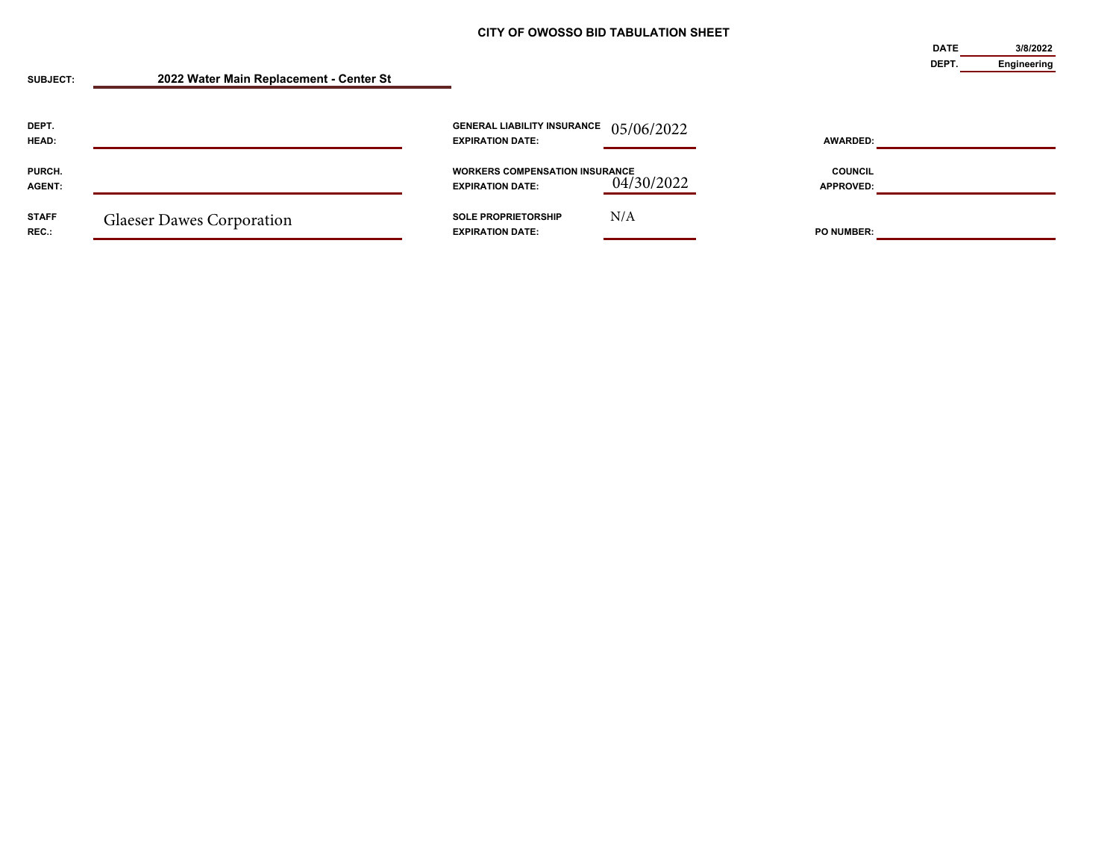**DATE**

**3/8/2022**

| <b>SUBJECT:</b>         | 2022 Water Main Replacement - Center St |                                                                  |            |                             | <b>DEPT</b> | Engineering |
|-------------------------|-----------------------------------------|------------------------------------------------------------------|------------|-----------------------------|-------------|-------------|
| DEPT.<br>HEAD:          |                                         | <b>GENERAL LIABILITY INSURANCE</b><br><b>EXPIRATION DATE:</b>    | 05/06/2022 | <b>AWARDED:</b>             |             |             |
| PURCH.<br><b>AGENT:</b> |                                         | <b>WORKERS COMPENSATION INSURANCE</b><br><b>EXPIRATION DATE:</b> | 04/30/2022 | <b>COUNCIL</b><br>APPROVED: |             |             |
| <b>STAFF</b><br>REC.:   | <b>Glaeser Dawes Corporation</b>        | <b>SOLE PROPRIETORSHIP</b><br><b>EXPIRATION DATE:</b>            | N/A        | <b>PO NUMBER:</b>           |             |             |